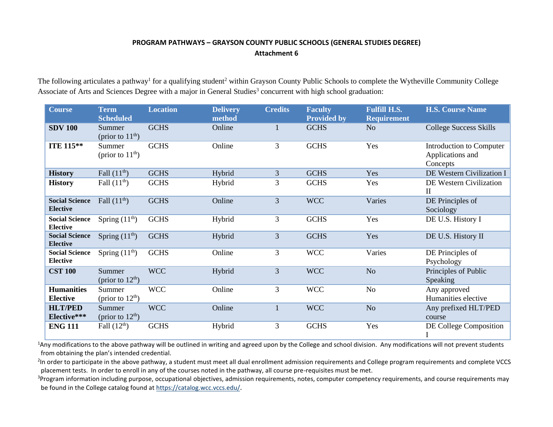## **PROGRAM PATHWAYS – GRAYSON COUNTY PUBLIC SCHOOLS (GENERAL STUDIES DEGREE) Attachment 6**

The following articulates a pathway<sup>1</sup> for a qualifying student<sup>2</sup> within Grayson County Public Schools to complete the Wytheville Community College Associate of Arts and Sciences Degree with a major in General Studies<sup>3</sup> concurrent with high school graduation:

| <b>Course</b>                            | <b>Term</b><br><b>Scheduled</b> | <b>Location</b> | <b>Delivery</b><br>method | <b>Credits</b> | <b>Faculty</b><br><b>Provided by</b> | <b>Fulfill H.S.</b><br><b>Requirement</b> | <b>H.S. Course Name</b>                                  |
|------------------------------------------|---------------------------------|-----------------|---------------------------|----------------|--------------------------------------|-------------------------------------------|----------------------------------------------------------|
| <b>SDV 100</b>                           | Summer<br>(prior to $11th$ )    | <b>GCHS</b>     | Online                    | 1              | <b>GCHS</b>                          | N <sub>o</sub>                            | <b>College Success Skills</b>                            |
| ITE 115**                                | Summer<br>(prior to $11th$ )    | <b>GCHS</b>     | Online                    | 3              | <b>GCHS</b>                          | Yes                                       | Introduction to Computer<br>Applications and<br>Concepts |
| <b>History</b>                           | Fall $(11th)$                   | <b>GCHS</b>     | Hybrid                    | 3              | <b>GCHS</b>                          | Yes                                       | DE Western Civilization I                                |
| <b>History</b>                           | Fall $(11th)$                   | <b>GCHS</b>     | Hybrid                    | 3              | <b>GCHS</b>                          | Yes                                       | DE Western Civilization<br>$\mathbf{I}$                  |
| <b>Social Science</b><br><b>Elective</b> | Fall $(11th)$                   | <b>GCHS</b>     | Online                    | 3              | <b>WCC</b>                           | Varies                                    | DE Principles of<br>Sociology                            |
| <b>Social Science</b><br><b>Elective</b> | Spring $(11th)$                 | <b>GCHS</b>     | Hybrid                    | 3              | <b>GCHS</b>                          | Yes                                       | DE U.S. History I                                        |
| <b>Social Science</b><br><b>Elective</b> | Spring $(11th)$                 | <b>GCHS</b>     | Hybrid                    | 3              | <b>GCHS</b>                          | Yes                                       | DE U.S. History II                                       |
| <b>Social Science</b><br><b>Elective</b> | Spring $(11th)$                 | <b>GCHS</b>     | Online                    | 3              | <b>WCC</b>                           | Varies                                    | DE Principles of<br>Psychology                           |
| <b>CST 100</b>                           | Summer<br>(prior to $12th$ )    | <b>WCC</b>      | Hybrid                    | 3              | <b>WCC</b>                           | N <sub>o</sub>                            | Principles of Public<br>Speaking                         |
| <b>Humanities</b><br><b>Elective</b>     | Summer<br>(prior to $12th$ )    | <b>WCC</b>      | Online                    | 3              | <b>WCC</b>                           | No                                        | Any approved<br>Humanities elective                      |
| <b>HLT/PED</b><br>Elective***            | Summer<br>(prior to $12th$ )    | <b>WCC</b>      | Online                    |                | <b>WCC</b>                           | N <sub>o</sub>                            | Any prefixed HLT/PED<br>course                           |
| <b>ENG 111</b>                           | Fall $(12th)$                   | <b>GCHS</b>     | Hybrid                    | 3              | <b>GCHS</b>                          | Yes                                       | DE College Composition<br>1                              |

<sup>1</sup>Any modifications to the above pathway will be outlined in writing and agreed upon by the College and school division. Any modifications will not prevent students from obtaining the plan's intended credential.

<sup>2</sup>In order to participate in the above pathway, a student must meet all dual enrollment admission requirements and College program requirements and complete VCCS placement tests. In order to enroll in any of the courses noted in the pathway, all course pre-requisites must be met.

<sup>3</sup>Program information including purpose, occupational objectives, admission requirements, notes, computer competency requirements, and course requirements may be found in the College catalog found a[t https://catalog.wcc.vccs.edu/](https://catalog.wcc.vccs.edu/).